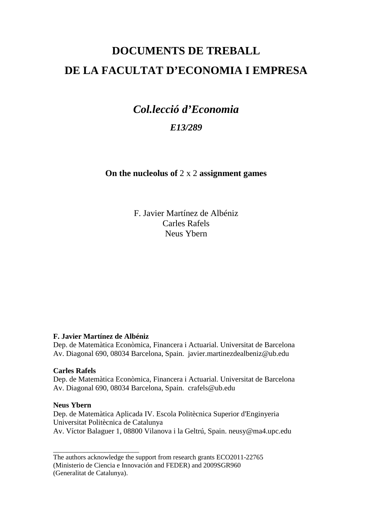# **DOCUMENTS DE TREBALL DE LA FACULTAT D'ECONOMIA I EMPRESA**

## *Col.lecció d'Economia E13/289*

**On the nucleolus of** 2 x 2 **assignment games** 

F. Javier Martínez de Albéniz Carles Rafels Neus Ybern

## **F. Javier Martínez de Albéniz**

Dep. de Matemàtica Econòmica, Financera i Actuarial. Universitat de Barcelona Av. Diagonal 690, 08034 Barcelona, Spain. javier.martinezdealbeniz@ub.edu

## **Carles Rafels**

Dep. de Matemàtica Econòmica, Financera i Actuarial. Universitat de Barcelona Av. Diagonal 690, 08034 Barcelona, Spain. crafels@ub.edu

### **Neus Ybern**

Dep. de Matemàtica Aplicada IV. Escola Politècnica Superior d'Enginyeria Universitat Politècnica de Catalunya Av. Víctor Balaguer 1, 08800 Vilanova i la Geltrú, Spain. neusy@ma4.upc.edu

\_\_\_\_\_\_\_\_\_\_\_\_\_\_\_\_\_\_\_\_\_\_\_\_\_

The authors acknowledge the support from research grants ECO2011-22765

<sup>(</sup>Ministerio de Ciencia e Innovación and FEDER) and 2009SGR960

<sup>(</sup>Generalitat de Catalunya).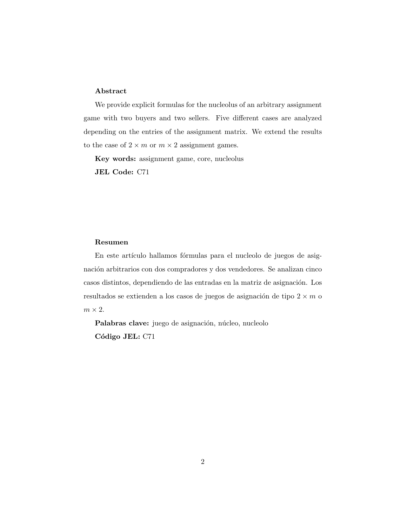#### Abstract

We provide explicit formulas for the nucleolus of an arbitrary assignment game with two buyers and two sellers. Five different cases are analyzed depending on the entries of the assignment matrix. We extend the results to the case of  $2 \times m$  or  $m \times 2$  assignment games.

Key words: assignment game, core, nucleolus JEL Code: C71

#### Resumen

En este artículo hallamos fórmulas para el nucleolo de juegos de asignación arbitrarios con dos compradores y dos vendedores. Se analizan cinco casos distintos, dependiendo de las entradas en la matriz de asignación. Los resultados se extienden a los casos de juegos de asignación de tipo  $2 \times m$  o  $m \times 2$ .

Palabras clave: juego de asignación, núcleo, nucleolo Código JEL: C71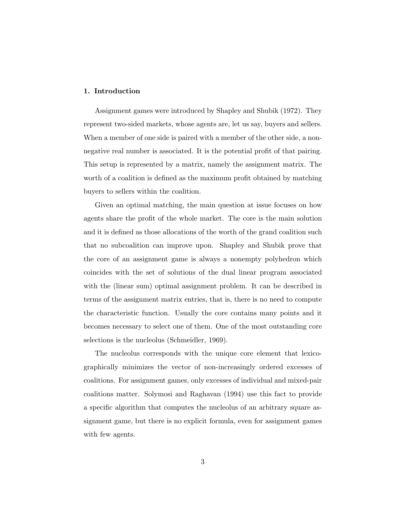#### 1. Introduction

Assignment games were introduced by Shapley and Shubik (1972). They represent two-sided markets, whose agents are, let us say, buyers and sellers. When a member of one side is paired with a member of the other side, a nonnegative real number is associated. It is the potential profit of that pairing. This setup is represented by a matrix, namely the assignment matrix. The worth of a coalition is defined as the maximum profit obtained by matching buyers to sellers within the coalition.

Given an optimal matching, the main question at issue focuses on how agents share the profit of the whole market. The core is the main solution and it is defined as those allocations of the worth of the grand coalition such that no subcoalition can improve upon. Shapley and Shubik prove that the core of an assignment game is always a nonempty polyhedron which coincides with the set of solutions of the dual linear program associated with the (linear sum) optimal assignment problem. It can be described in terms of the assignment matrix entries, that is, there is no need to compute the characteristic function. Usually the core contains many points and it becomes necessary to select one of them. One of the most outstanding core selections is the nucleolus (Schmeidler, 1969).

The nucleolus corresponds with the unique core element that lexicographically minimizes the vector of non-increasingly ordered excesses of coalitions. For assignment games, only excesses of individual and mixed-pair coalitions matter. Solymosi and Raghavan (1994) use this fact to provide a specific algorithm that computes the nucleolus of an arbitrary square assignment game, but there is no explicit formula, even for assignment games with few agents.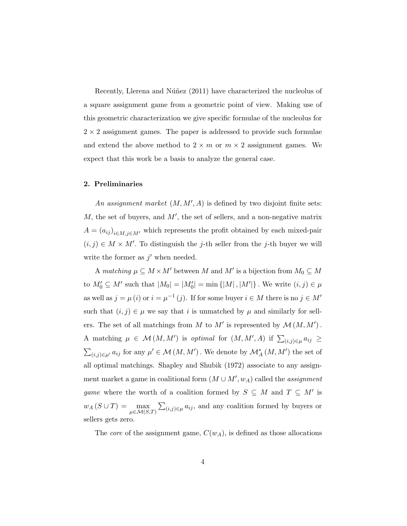Recently, Llerena and Núñez (2011) have characterized the nucleolus of a square assignment game from a geometric point of view. Making use of this geometric characterization we give specific formulae of the nucleolus for  $2 \times 2$  assignment games. The paper is addressed to provide such formulae and extend the above method to  $2 \times m$  or  $m \times 2$  assignment games. We expect that this work be a basis to analyze the general case.

#### 2. Preliminaries

An assignment market  $(M, M', A)$  is defined by two disjoint finite sets:  $M$ , the set of buyers, and  $M'$ , the set of sellers, and a non-negative matrix  $A = (a_{ij})_{i \in M, j \in M'}$  which represents the profit obtained by each mixed-pair  $(i, j) \in M \times M'$ . To distinguish the j-th seller from the j-th buyer we will write the former as  $j'$  when needed.

A matching  $\mu \subseteq M \times M'$  between M and M' is a bijection from  $M_0 \subseteq M$ to  $M'_0 \subseteq M'$  such that  $|M_0| = |M'_0| = \min \{|M|, |M'|\}$ . We write  $(i, j) \in \mu$ as well as  $j = \mu(i)$  or  $i = \mu^{-1}(j)$ . If for some buyer  $i \in M$  there is no  $j \in M'$ such that  $(i, j) \in \mu$  we say that i is unmatched by  $\mu$  and similarly for sellers. The set of all matchings from M to M' is represented by  $\mathcal{M}(M, M')$ . A matching  $\mu \in \mathcal{M}(M, M')$  is optimal for  $(M, M', A)$  if  $\sum_{(i,j)\in\mu} a_{ij} \geq$  $\sum_{(i,j)\in\mu'} a_{ij}$  for any  $\mu' \in \mathcal{M}(M,M')$ . We denote by  $\mathcal{M}_{A}^{*}(M,M')$  the set of all optimal matchings. Shapley and Shubik (1972) associate to any assignment market a game in coalitional form  $(M \cup M', w_A)$  called the *assignment* game where the worth of a coalition formed by  $S \subseteq M$  and  $T \subseteq M'$  is  $w_A(S \cup T) = \max_{\mu \in \mathcal{M}(S,T)} \sum_{(i,j) \in \mu} a_{ij}$ , and any coalition formed by buyers or sellers gets zero.

The *core* of the assignment game,  $C(w_A)$ , is defined as those allocations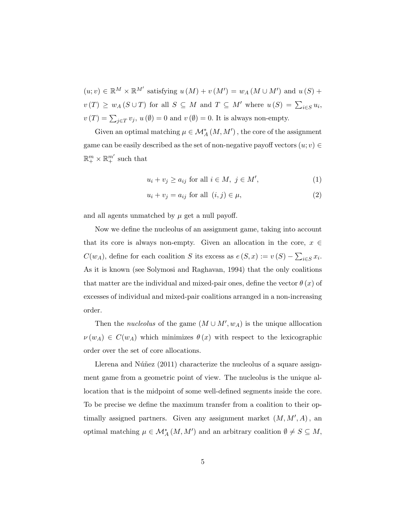$(u; v) \in \mathbb{R}^M \times \mathbb{R}^{M'}$  satisfying  $u(M) + v(M') = w_A(M \cup M')$  and  $u(S)$  +  $v(T) \ge w_A(S \cup T)$  for all  $S \subseteq M$  and  $T \subseteq M'$  where  $u(S) = \sum_{i \in S} u_i$ ,  $v(T) = \sum_{j \in T} v_j$ ,  $u(\emptyset) = 0$  and  $v(\emptyset) = 0$ . It is always non-empty.

Given an optimal matching  $\mu \in \mathcal{M}^*_{A}(M, M')$ , the core of the assignment game can be easily described as the set of non-negative payoff vectors  $(u; v) \in$  $\mathbb{R}^m_+ \times \mathbb{R}^{m'}_+$  such that

$$
u_i + v_j \ge a_{ij} \text{ for all } i \in M, \ j \in M', \tag{1}
$$

$$
u_i + v_j = a_{ij} \text{ for all } (i, j) \in \mu,
$$
\n
$$
(2)
$$

and all agents unmatched by  $\mu$  get a null payoff.

Now we define the nucleolus of an assignment game, taking into account that its core is always non-empty. Given an allocation in the core,  $x \in$  $C(w_A)$ , define for each coalition S its excess as  $e(S, x) := v(S) - \sum_{i \in S} x_i$ . As it is known (see Solymosi and Raghavan, 1994) that the only coalitions that matter are the individual and mixed-pair ones, define the vector  $\theta(x)$  of excesses of individual and mixed-pair coalitions arranged in a non-increasing order.

Then the *nucleolus* of the game  $(M \cup M', w_A)$  is the unique alllocation  $\nu(w_A) \in C(w_A)$  which minimizes  $\theta(x)$  with respect to the lexicographic order over the set of core allocations.

Llerena and Núñez  $(2011)$  characterize the nucleolus of a square assignment game from a geometric point of view. The nucleolus is the unique allocation that is the midpoint of some well-defined segments inside the core. To be precise we define the maximum transfer from a coalition to their optimally assigned partners. Given any assignment market  $(M, M', A)$ , an optimal matching  $\mu \in \mathcal{M}^*_{A}(M, M')$  and an arbitrary coalition  $\emptyset \neq S \subseteq M$ ,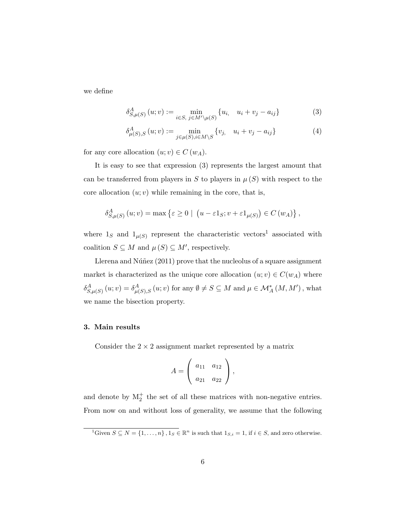we define

$$
\delta_{S,\mu(S)}^{A}(u;v) := \min_{i \in S, \ j \in M' \setminus \mu(S)} \{u_{i}, \ u_{i} + v_{j} - a_{ij}\}
$$
 (3)

$$
\delta_{\mu(S),S}^{A}(u;v) := \min_{j \in \mu(S), i \in M \setminus S} \{v_j, u_i + v_j - a_{ij}\}
$$
(4)

for any core allocation  $(u; v) \in C(w_A)$ .

It is easy to see that expression (3) represents the largest amount that can be transferred from players in S to players in  $\mu(S)$  with respect to the core allocation  $(u; v)$  while remaining in the core, that is,

$$
\delta_{S,\mu(S)}^{A}(u;v) = \max \left\{ \varepsilon \ge 0 \mid \left( u - \varepsilon 1_{S}; v + \varepsilon 1_{\mu(S)} \right) \in C(w_{A}) \right\},\
$$

where  $1_S$  and  $1_{\mu(S)}$  represent the characteristic vectors<sup>1</sup> associated with coalition  $S \subseteq M$  and  $\mu(S) \subseteq M'$ , respectively.

Llerena and Núñez  $(2011)$  prove that the nucleolus of a square assignment market is characterized as the unique core allocation  $(u; v) \in C(w_A)$  where  $\delta_{S,\mu(S)}^{A}(u;v) = \delta_{\mu(S),S}^{A}(u;v)$  for any  $\emptyset \neq S \subseteq M$  and  $\mu \in M_A^*(M, M')$ , what we name the bisection property.

#### 3. Main results

Consider the  $2 \times 2$  assignment market represented by a matrix

$$
A = \left(\begin{array}{cc} a_{11} & a_{12} \\ a_{21} & a_{22} \end{array}\right),
$$

and denote by  $M_2^+$  the set of all these matrices with non-negative entries. From now on and without loss of generality, we assume that the following

<sup>&</sup>lt;sup>1</sup>Given  $S \subseteq N = \{1, \ldots, n\}$ ,  $1_S \in \mathbb{R}^n$  is such that  $1_{S,i} = 1$ , if  $i \in S$ , and zero otherwise.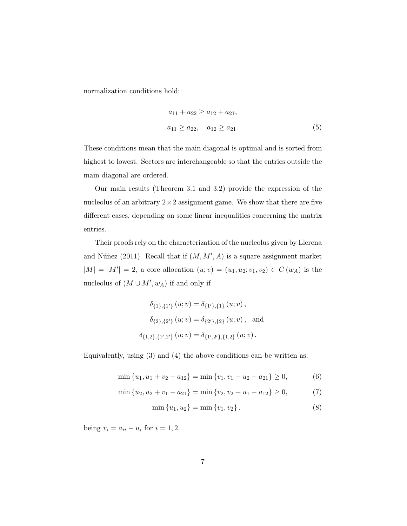normalization conditions hold:

$$
a_{11} + a_{22} \ge a_{12} + a_{21},
$$
  
\n
$$
a_{11} \ge a_{22}, \quad a_{12} \ge a_{21}.
$$
\n(5)

These conditions mean that the main diagonal is optimal and is sorted from highest to lowest. Sectors are interchangeable so that the entries outside the main diagonal are ordered.

Our main results (Theorem 3.1 and 3.2) provide the expression of the nucleolus of an arbitrary  $2 \times 2$  assignment game. We show that there are five different cases, depending on some linear inequalities concerning the matrix entries.

Their proofs rely on the characterization of the nucleolus given by Llerena and Núñez (2011). Recall that if  $(M, M', A)$  is a square assignment market  $|M| = |M'| = 2$ , a core allocation  $(u; v) = (u_1, u_2; v_1, v_2) \in C(w_A)$  is the nucleolus of  $(M \cup M', w_A)$  if and only if

$$
\delta_{\{1\},\{1'\}}(u;v) = \delta_{\{1'\},\{1\}}(u;v),
$$

$$
\delta_{\{2\},\{2'\}}(u;v) = \delta_{\{2'\},\{2\}}(u;v), \text{ and}
$$

$$
\delta_{\{1,2\},\{1',2'\}}(u;v) = \delta_{\{1',2'\},\{1,2\}}(u;v).
$$

Equivalently, using (3) and (4) the above conditions can be written as:

$$
\min\{u_1, u_1 + v_2 - a_{12}\} = \min\{v_1, v_1 + u_2 - a_{21}\} \ge 0,
$$
\n(6)

$$
\min\{u_2, u_2 + v_1 - a_{21}\} = \min\{v_2, v_2 + u_1 - a_{12}\} \ge 0,\tag{7}
$$

$$
\min\{u_1, u_2\} = \min\{v_1, v_2\}.
$$
\n(8)

being  $v_i = a_{ii} - u_i$  for  $i = 1, 2$ .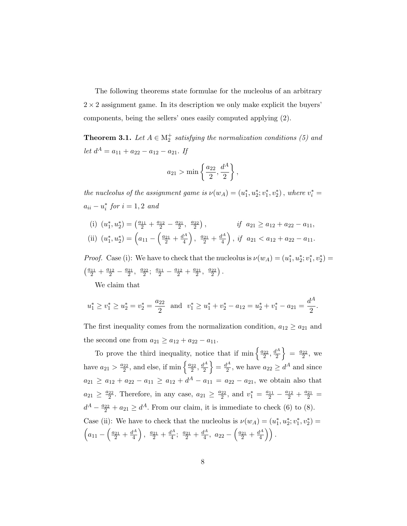The following theorems state formulae for the nucleolus of an arbitrary  $2 \times 2$  assignment game. In its description we only make explicit the buyers' components, being the sellers' ones easily computed applying (2).

**Theorem 3.1.** Let  $A \in M_2^+$  satisfying the normalization conditions (5) and let  $d^A = a_{11} + a_{22} - a_{12} - a_{21}$ . If

$$
a_{21} > \min \left\{ \frac{a_{22}}{2}, \frac{d^A}{2} \right\},\,
$$

the nucleolus of the assignment game is  $\nu(w_A) = (u_1^*, u_2^*; v_1^*, v_2^*)$ , where  $v_i^* =$  $a_{ii} - u_i^*$  for  $i = 1, 2$  and

(i)  $(u_1^*, u_2^*) = \left(\frac{a_{11}}{2} + \frac{a_{12}}{2} - \frac{a_{21}}{2}, \frac{a_{22}}{2}\right),$  if  $a_{21} \ge a_{12} + a_{22} - a_{11}$ , (ii)  $(u_1^*, u_2^*) = \left(a_{11} - \left(\frac{a_{21}}{2} + \frac{d^A}{4}\right)\right)$  $\left(\frac{d^A}{4}\right), \frac{a_{21}}{2} + \frac{d^A}{4}$  $\left(\frac{l^A}{4}\right)$ , if  $a_{21} < a_{12} + a_{22} - a_{11}$ .

*Proof.* Case (i): We have to check that the nucleolus is  $\nu(w_A) = (u_1^*, u_2^*, v_1^*, v_2^*) =$  $\left(\frac{a_{11}}{2} + \frac{a_{12}}{2} - \frac{a_{21}}{2}, \frac{a_{22}}{2}; \frac{a_{11}}{2} - \frac{a_{12}}{2} + \frac{a_{21}}{2}, \frac{a_{22}}{2}\right).$ 

We claim that

$$
u_1^* \ge v_1^* \ge u_2^* = v_2^* = \frac{a_{22}}{2}
$$
 and  $v_1^* \ge u_1^* + v_2^* - a_{12} = u_2^* + v_1^* - a_{21} = \frac{d^A}{2}$ .

The first inequality comes from the normalization condition,  $a_{12} \ge a_{21}$  and the second one from  $a_{21} \ge a_{12} + a_{22} - a_{11}$ .

To prove the third inequality, notice that if  $\min \left\{ \frac{a_{22}}{2}, \frac{d^2}{2} \right\}$  $\frac{l^A}{2}$  =  $\frac{a_{22}}{2}$ , we have  $a_{21} > \frac{a_{22}}{2}$ , and else, if min  $\left\{\frac{a_{22}}{2}, \frac{d^4}{2}\right\}$  $\left\lfloor \frac{d^A}{2} \right\rfloor = \frac{d^A}{2}$  $\frac{d^A}{2}$ , we have  $a_{22} \geq d^A$  and since  $a_{21} \ge a_{12} + a_{22} - a_{11} \ge a_{12} + d^A - a_{11} = a_{22} - a_{21}$ , we obtain also that  $a_{21} \geq \frac{a_{22}}{2}$ . Therefore, in any case,  $a_{21} \geq \frac{a_{22}}{2}$ , and  $v_1^* = \frac{a_{11}}{2} - \frac{a_{12}}{2} + \frac{a_{21}}{2} =$  $d^A - \frac{a_{22}}{2} + a_{21} \geq d^A$ . From our claim, it is immediate to check (6) to (8). Case (ii): We have to check that the nucleolus is  $\nu(w_A) = (u_1^*, u_2^*; v_1^*, v_2^*) =$  $\left(a_{11} - \left(\frac{a_{21}}{2} + \frac{d^A}{4}\right)\right)$  $\left(\frac{d^{A}}{4}\right), \frac{a_{21}}{2} + \frac{d^{A}}{4}$  $\frac{l^A}{4}$ ;  $\frac{a_{21}}{2} + \frac{d^A}{4}$  $rac{l^{A}}{4}$ ,  $a_{22} - \left(\frac{a_{21}}{2} + \frac{d^{A}}{4}\right)$  $\binom{l^A}{4}$ .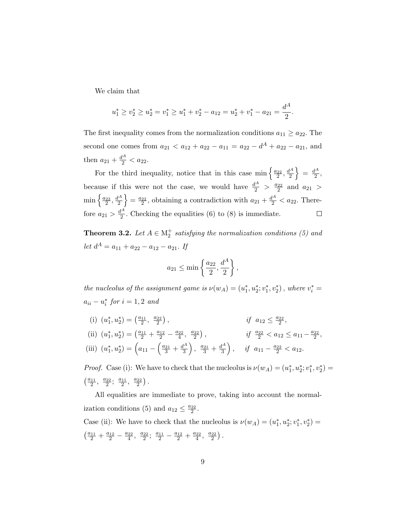We claim that

$$
u_1^* \ge v_2^* \ge u_2^* = v_1^* \ge u_1^* + v_2^* - a_{12} = u_2^* + v_1^* - a_{21} = \frac{d^A}{2}.
$$

The first inequality comes from the normalization conditions  $a_{11} \ge a_{22}$ . The second one comes from  $a_{21} < a_{12} + a_{22} - a_{11} = a_{22} - d^A + a_{22} - a_{21}$ , and then  $a_{21} + \frac{d^A}{2} < a_{22}$ .

For the third inequality, notice that in this case min  $\left\{\frac{a_{22}}{2},\frac{d^A}{2}\right\}$  $\left\{\frac{d^A}{2}\right\} = \frac{d^A}{2}$  $\frac{1}{2}$ , because if this were not the case, we would have  $\frac{d^A}{2} > \frac{a_{22}}{2}$  and  $a_{21} >$  $\min\left\{\frac{a_{22}}{2},\frac{d^A}{2}\right\}$  $\left\{\frac{a^{2}}{2}\right\} = \frac{a_{22}}{2}$ , obtaining a contradiction with  $a_{21} + \frac{d^{A}}{2} < a_{22}$ . Therefore  $a_{21} > \frac{d^A}{2}$  $\frac{p}{2}$ . Checking the equalities (6) to (8) is immediate.  $\Box$ 

**Theorem 3.2.** Let  $A \in M_2^+$  satisfying the normalization conditions (5) and let  $d^A = a_{11} + a_{22} - a_{12} - a_{21}$ . If

$$
a_{21} \le \min\left\{\frac{a_{22}}{2}, \frac{d^A}{2}\right\},\,
$$

the nucleolus of the assignment game is  $\nu(w_A) = (u_1^*, u_2^*; v_1^*, v_2^*)$ , where  $v_i^* =$  $a_{ii} - u_i^*$  for  $i = 1, 2$  and

- (i)  $(u_1^*, u_2^*) = \left(\frac{a_{11}}{2}, \frac{a_{22}}{2}\right)$ ,  $if \t a_{12} \leq \frac{a_{22}}{2},$
- (ii)  $(u_1^*, u_2^*) = \left(\frac{a_{11}}{2} + \frac{a_{12}}{2} \frac{a_{22}}{4}, \frac{a_{22}}{2}\right)$ ,  $if \frac{a_{22}}{2} < a_{12} \le a_{11} - \frac{a_{22}}{2}$ , (iii)  $(u_1^*, u_2^*) = \left(a_{11} - \left(\frac{a_{21}}{3} + \frac{d^A}{3}\right)\right)$  $\frac{d^A}{3}$ ,  $\frac{a_{21}}{3}$  +  $\frac{d^A}{3}$  $\frac{l^A}{3}$ , if  $a_{11} - \frac{a_{22}}{2} < a_{12}$ .

*Proof.* Case (i): We have to check that the nucleolus is  $\nu(w_A) = (u_1^*, u_2^*, v_1^*, v_2^*) =$  $\left(\frac{a_{11}}{2}, \frac{a_{22}}{2}; \frac{a_{11}}{2}, \frac{a_{22}}{2}\right)$ .

All equalities are immediate to prove, taking into account the normalization conditions (5) and  $a_{12} \leq \frac{a_{22}}{2}$ . Case (ii): We have to check that the nucleolus is  $\nu(w_A) = (u_1^*, u_2^*; v_1^*, v_2^*) =$  $\left(\frac{a_{11}}{2} + \frac{a_{12}}{2} - \frac{a_{22}}{4}, \frac{a_{22}}{2}; \frac{a_{11}}{2} - \frac{a_{12}}{2} + \frac{a_{22}}{4}, \frac{a_{22}}{2}\right).$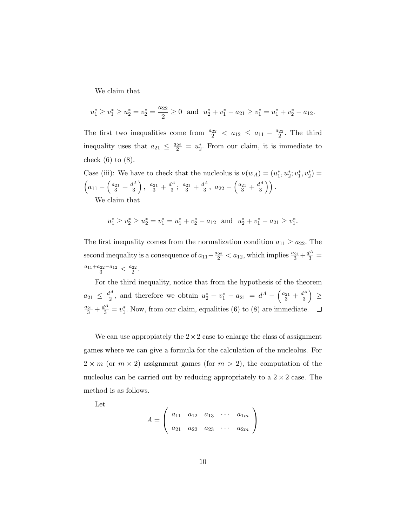We claim that

$$
u_1^* \ge v_1^* \ge u_2^* = v_2^* = \frac{a_{22}}{2} \ge 0
$$
 and  $u_2^* + v_1^* - a_{21} \ge v_1^* = u_1^* + v_2^* - a_{12}$ .

The first two inequalities come from  $\frac{a_{22}}{2} < a_{12} \le a_{11} - \frac{a_{22}}{2}$ . The third inequality uses that  $a_{21} \leq \frac{a_{22}}{2} = u_2^*$ . From our claim, it is immediate to check  $(6)$  to  $(8)$ .

Case (iii): We have to check that the nucleolus is  $\nu(w_A) = (u_1^*, u_2^*, v_1^*, v_2^*) =$  $\left(a_{11} - \left(\frac{a_{21}}{3} + \frac{d^A}{3}\right)\right)$  $\frac{d^{A}}{3}$ ,  $\frac{a_{21}}{3}$  +  $\frac{d^{A}}{3}$  $\frac{l^A}{3}$ ;  $\frac{a_{21}}{3} + \frac{d^A}{3}$  $rac{l^{A}}{3}, a_{22} - \left(\frac{a_{21}}{3} + \frac{d^{A}}{3}\right)$  $\binom{l^A}{3}$ . We claim that

$$
u_1^* \ge v_2^* \ge u_2^* = v_1^* = u_1^* + v_2^* - a_{12}
$$
 and  $u_2^* + v_1^* - a_{21} \ge v_1^*.$ 

The first inequality comes from the normalization condition  $a_{11} \ge a_{22}$ . The second inequality is a consequence of  $a_{11} - \frac{a_{22}}{2} < a_{12}$ , which implies  $\frac{a_{21}}{3} + \frac{d^4}{3} =$  $\frac{a_{11}+a_{22}-a_{12}}{3} < \frac{a_{22}}{2}.$ 

For the third inequality, notice that from the hypothesis of the theorem  $a_{21} \leq \frac{d^A}{2}$  $u_1^4$ , and therefore we obtain  $u_2^* + v_1^* - a_{21} = d^A - \left(\frac{a_{21}}{3} + \frac{d^A}{3}\right)$  $\left(\frac{l^{A}}{3}\right) \geq$  $\frac{a_{21}}{3} + \frac{d^4}{3} = v_1^*$ . Now, from our claim, equalities (6) to (8) are immediate.

We can use appropiately the  $2 \times 2$  case to enlarge the class of assignment games where we can give a formula for the calculation of the nucleolus. For  $2 \times m$  (or  $m \times 2$ ) assignment games (for  $m > 2$ ), the computation of the nucleolus can be carried out by reducing appropriately to a  $2 \times 2$  case. The method is as follows.

Let

$$
A = \left(\begin{array}{cccc} a_{11} & a_{12} & a_{13} & \cdots & a_{1m} \\ a_{21} & a_{22} & a_{23} & \cdots & a_{2m} \end{array}\right)
$$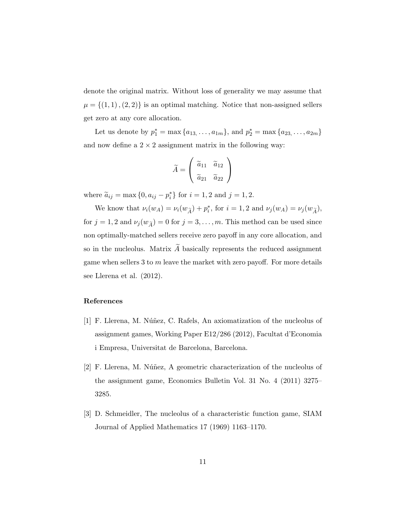denote the original matrix. Without loss of generality we may assume that  $\mu = \{(1, 1), (2, 2)\}\$ is an optimal matching. Notice that non-assigned sellers get zero at any core allocation.

Let us denote by  $p_1^* = \max\{a_{13}, \ldots, a_{1m}\}\$ , and  $p_2^* = \max\{a_{23}, \ldots, a_{2m}\}\$ and now define a  $2 \times 2$  assignment matrix in the following way:

$$
\widetilde{A} = \left(\begin{array}{cc} \widetilde{a}_{11} & \widetilde{a}_{12} \\ \widetilde{a}_{21} & \widetilde{a}_{22} \end{array}\right)
$$

where  $\tilde{a}_{ij} = \max\{0, a_{ij} - p_i^*\}$  for  $i = 1, 2$  and  $j = 1, 2$ .

We know that  $\nu_i(w_A) = \nu_i(w_{\widetilde{A}}) + p_i^*$ , for  $i = 1, 2$  and  $\nu_j(w_A) = \nu_j(w_{\widetilde{A}})$ , for  $j = 1, 2$  and  $\nu_j(w_{\widetilde{A}}) = 0$  for  $j = 3, ..., m$ . This method can be used since non optimally-matched sellers receive zero payoff in any core allocation, and so in the nucleolus. Matrix  $\widetilde{A}$  basically represents the reduced assignment game when sellers  $3$  to  $m$  leave the market with zero payoff. For more details see Llerena et al. (2012).

#### References

- [1] F. Llerena, M. Núñez, C. Rafels, An axiomatization of the nucleolus of assignment games, Working Paper E12/286 (2012), Facultat d'Economia i Empresa, Universitat de Barcelona, Barcelona.
- [2] F. Llerena, M. Núñez, A geometric characterization of the nucleolus of the assignment game, Economics Bulletin Vol. 31 No. 4 (2011) 3275– 3285.
- [3] D. Schmeidler, The nucleolus of a characteristic function game, SIAM Journal of Applied Mathematics 17 (1969) 1163–1170.